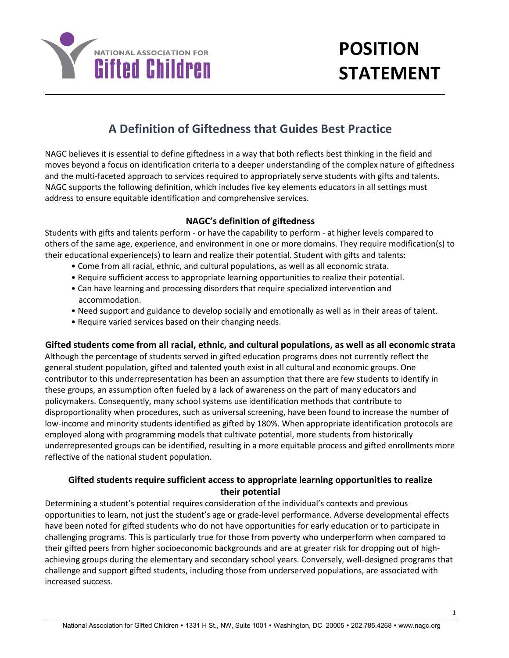

# **POSITION STATEMENT**

# **A Definition of Giftedness that Guides Best Practice**

NAGC believes it is essential to define giftedness in a way that both reflects best thinking in the field and moves beyond a focus on identification criteria to a deeper understanding of the complex nature of giftedness and the multi-faceted approach to services required to appropriately serve students with gifts and talents. NAGC supports the following definition, which includes five key elements educators in all settings must address to ensure equitable identification and comprehensive services.

#### **NAGC's definition of giftedness**

Students with gifts and talents perform - or have the capability to perform - at higher levels compared to others of the same age, experience, and environment in one or more domains. They require modification(s) to their educational experience(s) to learn and realize their potential. Student with gifts and talents:

- Come from all racial, ethnic, and cultural populations, as well as all economic strata.
- Require sufficient access to appropriate learning opportunities to realize their potential.
- Can have learning and processing disorders that require specialized intervention and accommodation.
- Need support and guidance to develop socially and emotionally as well as in their areas of talent.
- Require varied services based on their changing needs.

#### **Gifted students come from all racial, ethnic, and cultural populations, as well as all economic strata**

Although the percentage of students served in gifted education programs does not currently reflect the general student population, gifted and talented youth exist in all cultural and economic groups. One contributor to this underrepresentation has been an assumption that there are few students to identify in these groups, an assumption often fueled by a lack of awareness on the part of many educators and policymakers. Consequently, many school systems use identification methods that contribute to disproportionality when procedures, such as universal screening, have been found to increase the number of low-income and minority students identified as gifted by 180%. When appropriate identification protocols are employed along with programming models that cultivate potential, more students from historically underrepresented groups can be identified, resulting in a more equitable process and gifted enrollments more reflective of the national student population.

#### **Gifted students require sufficient access to appropriate learning opportunities to realize their potential**

Determining a student's potential requires consideration of the individual's contexts and previous opportunities to learn, not just the student's age or grade-level performance. Adverse developmental effects have been noted for gifted students who do not have opportunities for early education or to participate in challenging programs. This is particularly true for those from poverty who underperform when compared to their gifted peers from higher socioeconomic backgrounds and are at greater risk for dropping out of highachieving groups during the elementary and secondary school years. Conversely, well-designed programs that challenge and support gifted students, including those from underserved populations, are associated with increased success.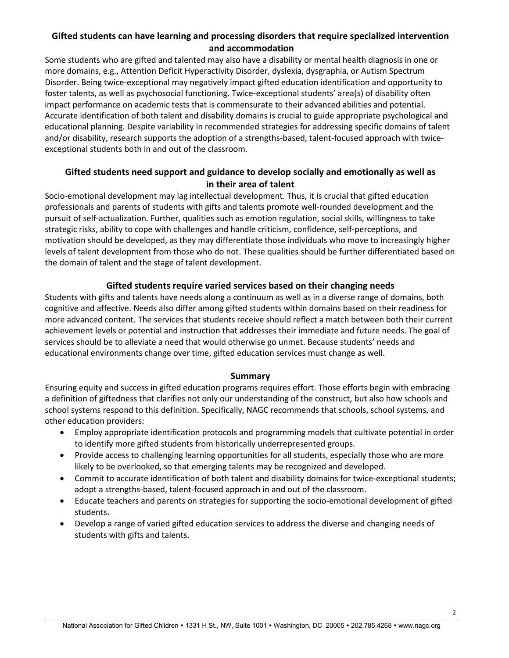## **Gifted students can have learning and processing disorders that require specialized intervention and accommodation**

Some students who are gifted and talented may also have a disability or mental health diagnosis in one or more domains, e.g., Attention Deficit Hyperactivity Disorder, dyslexia, dysgraphia, or Autism Spectrum Disorder. Being twice-exceptional may negatively impact gifted education identification and opportunity to foster talents, as well as psychosocial functioning. Twice-exceptional students' area(s) of disability often impact performance on academic tests that is commensurate to their advanced abilities and potential. Accurate identification of both talent and disability domains is crucial to guide appropriate psychological and educational planning. Despite variability in recommended strategies for addressing specific domains of talent and/or disability, research supports the adoption of a strengths-based, talent-focused approach with twiceexceptional students both in and out of the classroom.

## **Gifted students need support and guidance to develop socially and emotionally as well as in their area of talent**

Socio-emotional development may lag intellectual development. Thus, it is crucial that gifted education professionals and parents of students with gifts and talents promote well-rounded development and the pursuit of self-actualization. Further, qualities such as emotion regulation, social skills, willingness to take strategic risks, ability to cope with challenges and handle criticism, confidence, self-perceptions, and motivation should be developed, as they may differentiate those individuals who move to increasingly higher levels of talent development from those who do not. These qualities should be further differentiated based on the domain of talent and the stage of talent development.

#### **Gifted students require varied services based on their changing needs**

Students with gifts and talents have needs along a continuum as well as in a diverse range of domains, both cognitive and affective. Needs also differ among gifted students within domains based on their readiness for more advanced content. The services that students receive should reflect a match between both their current achievement levels or potential and instruction that addresses their immediate and future needs. The goal of services should be to alleviate a need that would otherwise go unmet. Because students' needs and educational environments change over time, gifted education services must change as well.

#### **Summary**

Ensuring equity and success in gifted education programs requires effort. Those efforts begin with embracing a definition of giftedness that clarifies not only our understanding of the construct, but also how schools and school systems respond to this definition. Specifically, NAGC recommends that schools, school systems, and other education providers:

- Employ appropriate identification protocols and programming models that cultivate potential in order to identify more gifted students from historically underrepresented groups.
- Provide access to challenging learning opportunities for all students, especially those who are more likely to be overlooked, so that emerging talents may be recognized and developed.
- Commit to accurate identification of both talent and disability domains for twice-exceptional students; adopt a strengths-based, talent-focused approach in and out of the classroom.
- Educate teachers and parents on strategies for supporting the socio-emotional development of gifted students.
- Develop a range of varied gifted education services to address the diverse and changing needs of students with gifts and talents.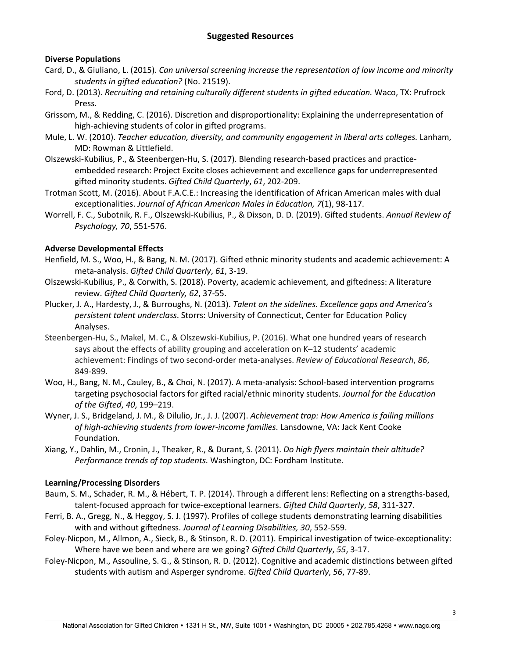#### **Suggested Resources**

#### **Diverse Populations**

- Card, D., & Giuliano, L. (2015). *Can universal screening increase the representation of low income and minority students in gifted education?* (No. 21519).
- Ford, D. (2013). *Recruiting and retaining culturally different students in gifted education.* Waco, TX: Prufrock Press.
- Grissom, M., & Redding, C. (2016). Discretion and disproportionality: Explaining the underrepresentation of high-achieving students of color in gifted programs.
- Mule, L. W. (2010). *Teacher education, diversity, and community engagement in liberal arts colleges.* Lanham, MD: Rowman & Littlefield.
- Olszewski-Kubilius, P., & Steenbergen-Hu, S. (2017). Blending research-based practices and practiceembedded research: Project Excite closes achievement and excellence gaps for underrepresented gifted minority students. *Gifted Child Quarterly*, *61*, 202-209.
- Trotman Scott, M. (2016). About F.A.C.E.: Increasing the identification of African American males with dual exceptionalities. *Journal of African American Males in Education, 7*(1), 98-117.
- Worrell, F. C., Subotnik, R. F., Olszewski-Kubilius, P., & Dixson, D. D. (2019). Gifted students. *Annual Review of Psychology, 70*, 551-576.

#### **Adverse Developmental Effects**

- Henfield, M. S., Woo, H., & Bang, N. M. (2017). Gifted ethnic minority students and academic achievement: A meta-analysis. *Gifted Child Quarterly*, *61*, 3-19.
- Olszewski-Kubilius, P., & Corwith, S. (2018). Poverty, academic achievement, and giftedness: A literature review. *Gifted Child Quarterly, 62*, 37-55.
- Plucker, J. A., Hardesty, J., & Burroughs, N. (2013). *Talent on the sidelines. Excellence gaps and America's persistent talent underclass*. Storrs: University of Connecticut, Center for Education Policy Analyses.
- Steenbergen-Hu, S., Makel, M. C., & Olszewski-Kubilius, P. (2016). What one hundred years of research says about the effects of ability grouping and acceleration on K–12 students' academic achievement: Findings of two second-order meta-analyses. *Review of Educational Research*, *86*, 849-899.
- Woo, H., Bang, N. M., Cauley, B., & Choi, N. (2017). A meta-analysis: School-based intervention programs targeting psychosocial factors for gifted racial/ethnic minority students. *Journal for the Education of the Gifted*, *40*, 199–219.
- Wyner, J. S., Bridgeland, J. M., & Dilulio, Jr., J. J. (2007). *Achievement trap: How America is failing millions of high-achieving students from lower-income families*. Lansdowne, VA: Jack Kent Cooke Foundation.
- Xiang, Y., Dahlin, M., Cronin, J., Theaker, R., & Durant, S. (2011). *Do high flyers maintain their altitude? Performance trends of top students.* Washington, DC: Fordham Institute.

#### **Learning/Processing Disorders**

- Baum, S. M., Schader, R. M., & Hébert, T. P. (2014). Through a different lens: Reflecting on a strengths-based, talent-focused approach for twice-exceptional learners. *Gifted Child Quarterly*, *58*, 311-327.
- Ferri, B. A., Gregg, N., & Heggoy, S. J. (1997). Profiles of college students demonstrating learning disabilities with and without giftedness. *Journal of Learning Disabilities, 30*, 552-559.
- Foley-Nicpon, M., Allmon, A., Sieck, B., & Stinson, R. D. (2011). Empirical investigation of twice-exceptionality: Where have we been and where are we going? *Gifted Child Quarterly*, *55*, 3-17.
- Foley-Nicpon, M., Assouline, S. G., & Stinson, R. D. (2012). Cognitive and academic distinctions between gifted students with autism and Asperger syndrome. *Gifted Child Quarterly*, *56*, 77-89.